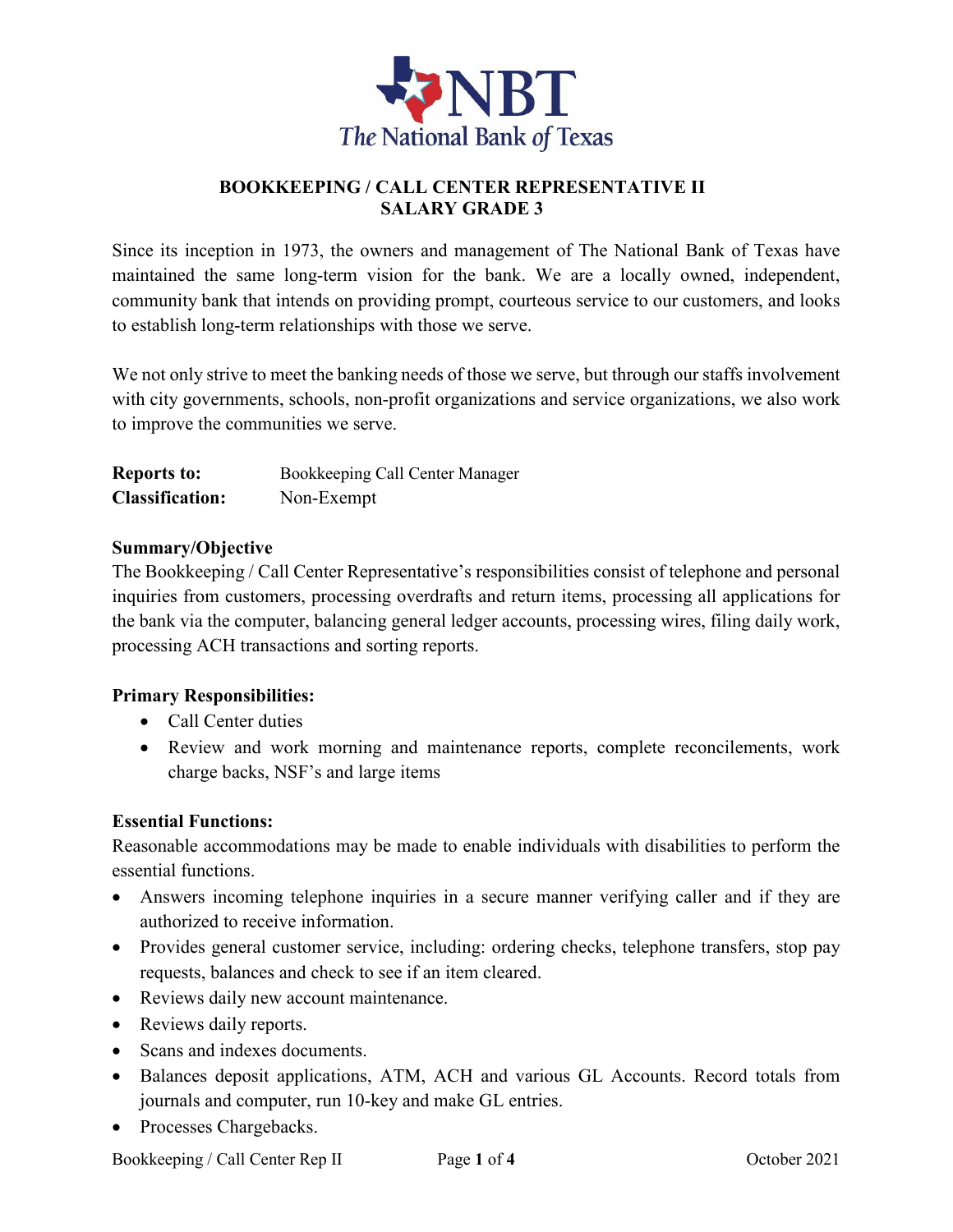

### **BOOKKEEPING / CALL CENTER REPRESENTATIVE II SALARY GRADE 3**

Since its inception in 1973, the owners and management of The National Bank of Texas have maintained the same long-term vision for the bank. We are a locally owned, independent, community bank that intends on providing prompt, courteous service to our customers, and looks to establish long-term relationships with those we serve.

We not only strive to meet the banking needs of those we serve, but through our staffs involvement with city governments, schools, non-profit organizations and service organizations, we also work to improve the communities we serve.

| <b>Reports to:</b>     | Bookkeeping Call Center Manager |
|------------------------|---------------------------------|
| <b>Classification:</b> | Non-Exempt                      |

#### **Summary/Objective**

The Bookkeeping / Call Center Representative's responsibilities consist of telephone and personal inquiries from customers, processing overdrafts and return items, processing all applications for the bank via the computer, balancing general ledger accounts, processing wires, filing daily work, processing ACH transactions and sorting reports.

### **Primary Responsibilities:**

- Call Center duties
- Review and work morning and maintenance reports, complete reconcilements, work charge backs, NSF's and large items

#### **Essential Functions:**

Reasonable accommodations may be made to enable individuals with disabilities to perform the essential functions.

- Answers incoming telephone inquiries in a secure manner verifying caller and if they are authorized to receive information.
- Provides general customer service, including: ordering checks, telephone transfers, stop pay requests, balances and check to see if an item cleared.
- Reviews daily new account maintenance.
- Reviews daily reports.
- Scans and indexes documents.
- Balances deposit applications, ATM, ACH and various GL Accounts. Record totals from journals and computer, run 10-key and make GL entries.
- Processes Chargebacks.

Bookkeeping / Call Center Rep II Page 1 of 4 October 2021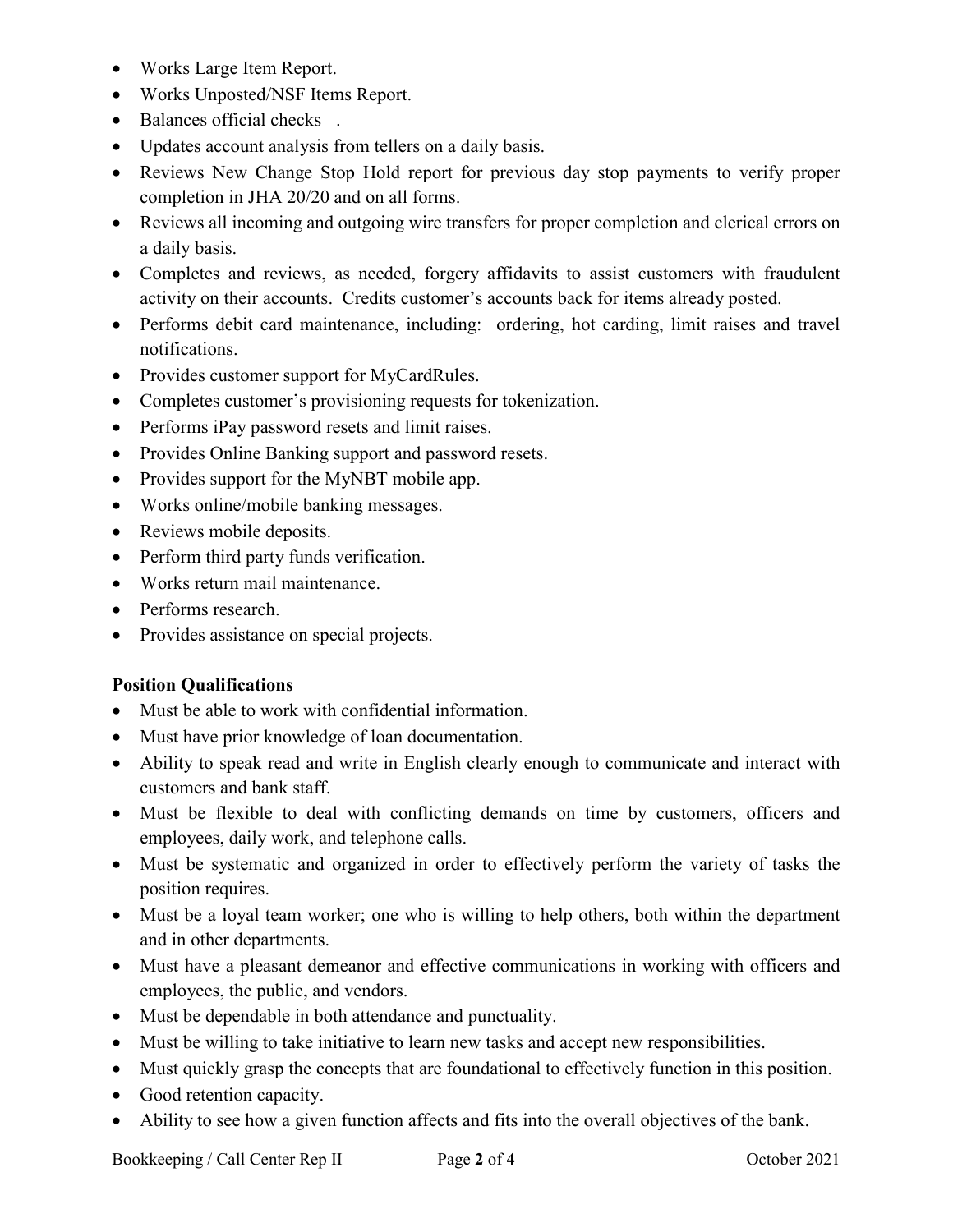- Works Large Item Report.
- Works Unposted/NSF Items Report.
- Balances official checks .
- Updates account analysis from tellers on a daily basis.
- Reviews New Change Stop Hold report for previous day stop payments to verify proper completion in JHA 20/20 and on all forms.
- Reviews all incoming and outgoing wire transfers for proper completion and clerical errors on a daily basis.
- Completes and reviews, as needed, forgery affidavits to assist customers with fraudulent activity on their accounts. Credits customer's accounts back for items already posted.
- Performs debit card maintenance, including: ordering, hot carding, limit raises and travel notifications.
- Provides customer support for MyCardRules.
- Completes customer's provisioning requests for tokenization.
- Performs iPay password resets and limit raises.
- Provides Online Banking support and password resets.
- Provides support for the MyNBT mobile app.
- Works online/mobile banking messages.
- Reviews mobile deposits.
- Perform third party funds verification.
- Works return mail maintenance.
- Performs research.
- Provides assistance on special projects.

### **Position Qualifications**

- Must be able to work with confidential information.
- Must have prior knowledge of loan documentation.
- Ability to speak read and write in English clearly enough to communicate and interact with customers and bank staff.
- Must be flexible to deal with conflicting demands on time by customers, officers and employees, daily work, and telephone calls.
- Must be systematic and organized in order to effectively perform the variety of tasks the position requires.
- Must be a loyal team worker; one who is willing to help others, both within the department and in other departments.
- Must have a pleasant demeanor and effective communications in working with officers and employees, the public, and vendors.
- Must be dependable in both attendance and punctuality.
- Must be willing to take initiative to learn new tasks and accept new responsibilities.
- Must quickly grasp the concepts that are foundational to effectively function in this position.
- Good retention capacity.
- Ability to see how a given function affects and fits into the overall objectives of the bank.

Bookkeeping / Call Center Rep II Page **2** of **4** October 2021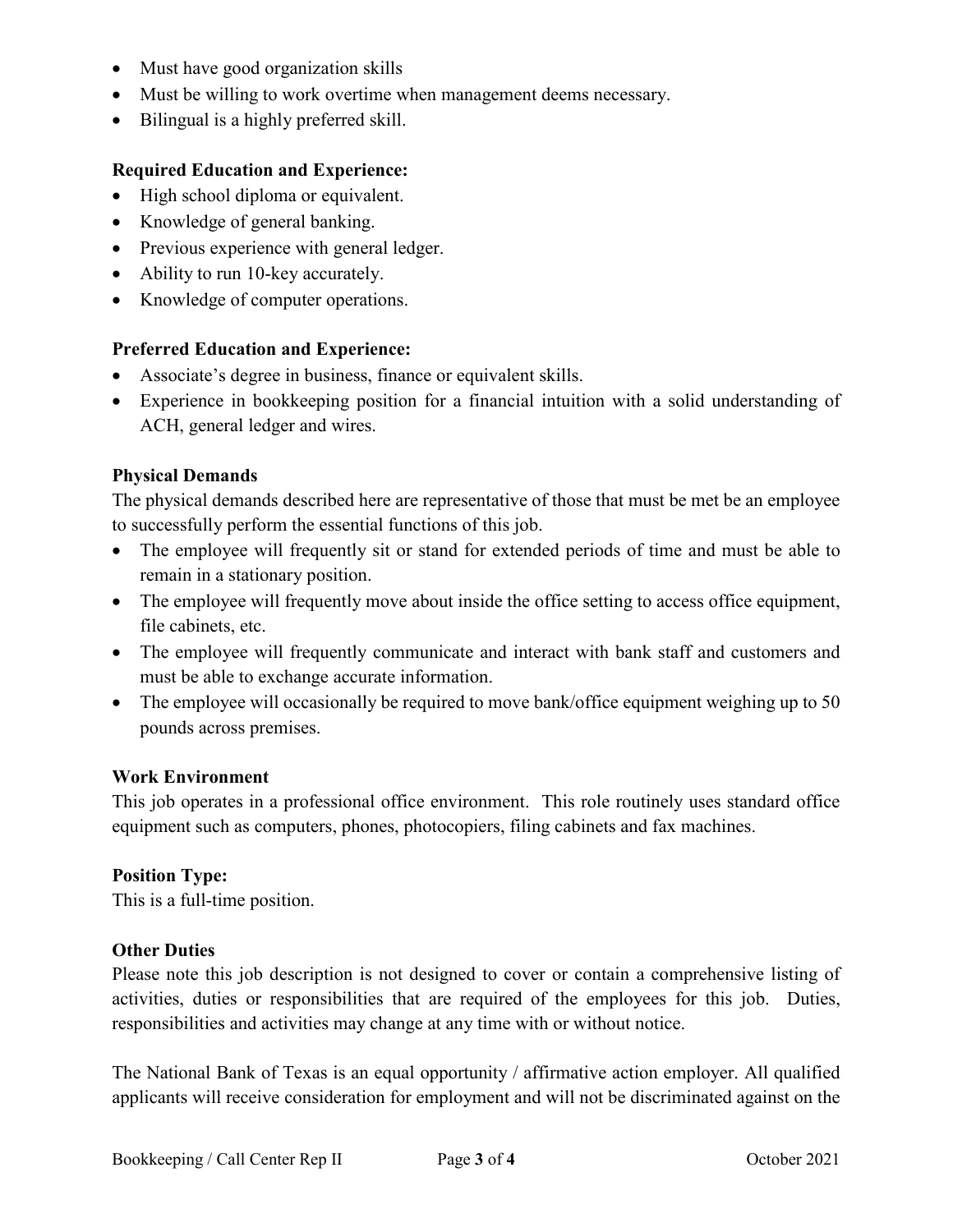- Must have good organization skills
- Must be willing to work overtime when management deems necessary.
- Bilingual is a highly preferred skill.

### **Required Education and Experience:**

- High school diploma or equivalent.
- Knowledge of general banking.
- Previous experience with general ledger.
- Ability to run 10-key accurately.
- Knowledge of computer operations.

# **Preferred Education and Experience:**

- Associate's degree in business, finance or equivalent skills.
- Experience in bookkeeping position for a financial intuition with a solid understanding of ACH, general ledger and wires.

# **Physical Demands**

The physical demands described here are representative of those that must be met be an employee to successfully perform the essential functions of this job.

- The employee will frequently sit or stand for extended periods of time and must be able to remain in a stationary position.
- The employee will frequently move about inside the office setting to access office equipment, file cabinets, etc.
- The employee will frequently communicate and interact with bank staff and customers and must be able to exchange accurate information.
- The employee will occasionally be required to move bank/office equipment weighing up to 50 pounds across premises.

# **Work Environment**

This job operates in a professional office environment. This role routinely uses standard office equipment such as computers, phones, photocopiers, filing cabinets and fax machines.

### **Position Type:**

This is a full-time position.

### **Other Duties**

Please note this job description is not designed to cover or contain a comprehensive listing of activities, duties or responsibilities that are required of the employees for this job. Duties, responsibilities and activities may change at any time with or without notice.

The National Bank of Texas is an equal opportunity / affirmative action employer. All qualified applicants will receive consideration for employment and will not be discriminated against on the